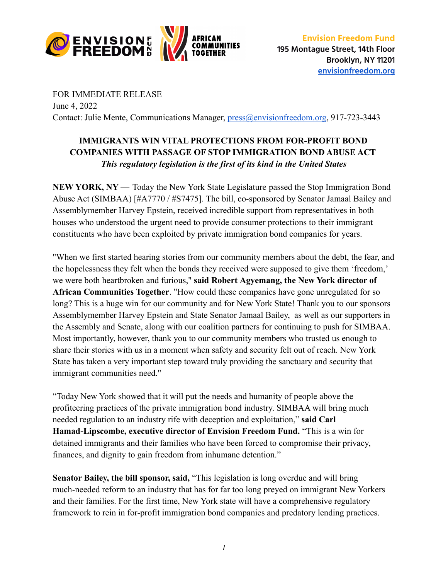

FOR IMMEDIATE RELEASE June 4, 2022 Contact: Julie Mente, Communications Manager, [press@envisionfreedom.org](mailto:press@envisionfreedom.org), 917-723-3443

## **IMMIGRANTS WIN VITAL PROTECTIONS FROM FOR-PROFIT BOND COMPANIES WITH PASSAGE OF STOP IMMIGRATION BOND ABUSE ACT** *This regulatory legislation is the first of its kind in the United States*

**NEW YORK, NY —** Today the New York State Legislature passed the Stop Immigration Bond Abuse Act (SIMBAA) [#A7770 / #S7475]. The bill, co-sponsored by Senator Jamaal Bailey and Assemblymember Harvey Epstein, received incredible support from representatives in both houses who understood the urgent need to provide consumer protections to their immigrant constituents who have been exploited by private immigration bond companies for years.

"When we first started hearing stories from our community members about the debt, the fear, and the hopelessness they felt when the bonds they received were supposed to give them 'freedom,' we were both heartbroken and furious," **said Robert Agyemang, the New York director of African Communities Together**. "How could these companies have gone unregulated for so long? This is a huge win for our community and for New York State! Thank you to our sponsors Assemblymember Harvey Epstein and State Senator Jamaal Bailey, as well as our supporters in the Assembly and Senate, along with our coalition partners for continuing to push for SIMBAA. Most importantly, however, thank you to our community members who trusted us enough to share their stories with us in a moment when safety and security felt out of reach. New York State has taken a very important step toward truly providing the sanctuary and security that immigrant communities need."

"Today New York showed that it will put the needs and humanity of people above the profiteering practices of the private immigration bond industry. SIMBAA will bring much needed regulation to an industry rife with deception and exploitation," **said Carl Hamad-Lipscombe, executive director of Envision Freedom Fund.** "This is a win for detained immigrants and their families who have been forced to compromise their privacy, finances, and dignity to gain freedom from inhumane detention."

**Senator Bailey, the bill sponsor, said,** "This legislation is long overdue and will bring much-needed reform to an industry that has for far too long preyed on immigrant New Yorkers and their families. For the first time, New York state will have a comprehensive regulatory framework to rein in for-profit immigration bond companies and predatory lending practices.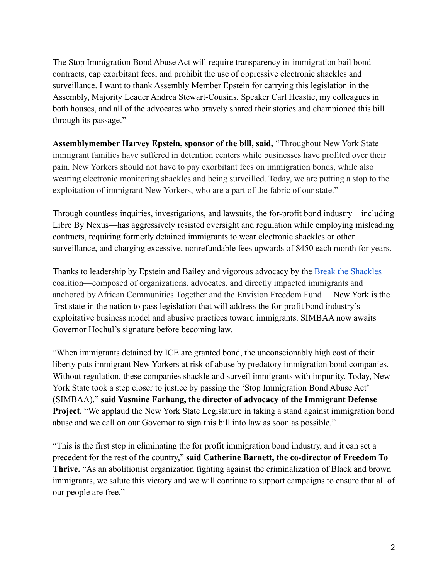The Stop Immigration Bond Abuse Act will require transparency in immigration bail bond contracts, cap exorbitant fees, and prohibit the use of oppressive electronic shackles and surveillance. I want to thank Assembly Member Epstein for carrying this legislation in the Assembly, Majority Leader Andrea Stewart-Cousins, Speaker Carl Heastie, my colleagues in both houses, and all of the advocates who bravely shared their stories and championed this bill through its passage."

**Assemblymember Harvey Epstein, sponsor of the bill, said,** "Throughout New York State immigrant families have suffered in detention centers while businesses have profited over their pain. New Yorkers should not have to pay exorbitant fees on immigration bonds, while also wearing electronic monitoring shackles and being surveilled. Today, we are putting a stop to the exploitation of immigrant New Yorkers, who are a part of the fabric of our state."

Through countless inquiries, investigations, and lawsuits, the for-profit bond industry—including Libre By Nexus—has aggressively resisted oversight and regulation while employing misleading contracts, requiring formerly detained immigrants to wear electronic shackles or other surveillance, and charging excessive, nonrefundable fees upwards of \$450 each month for years.

Thanks to leadership by Epstein and Bailey and vigorous advocacy by the **[Break the Shackles](https://breaktheshackles.org/)** coalition—composed of organizations, advocates, and directly impacted immigrants and anchored by African Communities Together and the Envision Freedom Fund— New York is the first state in the nation to pass legislation that will address the for-profit bond industry's exploitative business model and abusive practices toward immigrants. SIMBAA now awaits Governor Hochul's signature before becoming law.

"When immigrants detained by ICE are granted bond, the unconscionably high cost of their liberty puts immigrant New Yorkers at risk of abuse by predatory immigration bond companies. Without regulation, these companies shackle and surveil immigrants with impunity. Today, New York State took a step closer to justice by passing the 'Stop Immigration Bond Abuse Act' (SIMBAA)." **said Yasmine Farhang, the director of advocacy of the Immigrant Defense Project.** "We applaud the New York State Legislature in taking a stand against immigration bond abuse and we call on our Governor to sign this bill into law as soon as possible."

"This is the first step in eliminating the for profit immigration bond industry, and it can set a precedent for the rest of the country," **said Catherine Barnett, the co-director of Freedom To Thrive.** "As an abolitionist organization fighting against the criminalization of Black and brown immigrants, we salute this victory and we will continue to support campaigns to ensure that all of our people are free."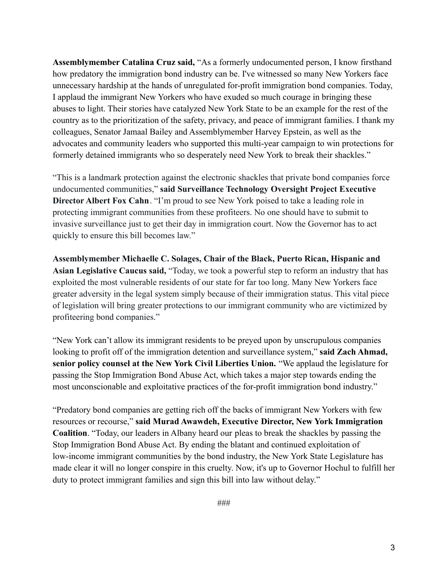**Assemblymember Catalina Cruz said,** "As a formerly undocumented person, I know firsthand how predatory the immigration bond industry can be. I've witnessed so many New Yorkers face unnecessary hardship at the hands of unregulated for-profit immigration bond companies. Today, I applaud the immigrant New Yorkers who have exuded so much courage in bringing these abuses to light. Their stories have catalyzed New York State to be an example for the rest of the country as to the prioritization of the safety, privacy, and peace of immigrant families. I thank my colleagues, Senator Jamaal Bailey and Assemblymember Harvey Epstein, as well as the advocates and community leaders who supported this multi-year campaign to win protections for formerly detained immigrants who so desperately need New York to break their shackles."

"This is a landmark protection against the electronic shackles that private bond companies force undocumented communities," **said Surveillance Technology Oversight Project Executive Director Albert Fox Cahn**. "I'm proud to see New York poised to take a leading role in protecting immigrant communities from these profiteers. No one should have to submit to invasive surveillance just to get their day in immigration court. Now the Governor has to act quickly to ensure this bill becomes law."

**Assemblymember Michaelle C. Solages, Chair of the Black, Puerto Rican, Hispanic and Asian Legislative Caucus said,** "Today, we took a powerful step to reform an industry that has exploited the most vulnerable residents of our state for far too long. Many New Yorkers face greater adversity in the legal system simply because of their immigration status. This vital piece of legislation will bring greater protections to our immigrant community who are victimized by profiteering bond companies."

"New York can't allow its immigrant residents to be preyed upon by unscrupulous companies looking to profit off of the immigration detention and surveillance system," **said Zach Ahmad**, **senior policy counsel at the New York Civil Liberties Union.** "We applaud the legislature for passing the Stop Immigration Bond Abuse Act, which takes a major step towards ending the most unconscionable and exploitative practices of the for-profit immigration bond industry."

"Predatory bond companies are getting rich off the backs of immigrant New Yorkers with few resources or recourse," **said Murad Awawdeh, Executive Director, New York Immigration Coalition**. "Today, our leaders in Albany heard our pleas to break the shackles by passing the Stop Immigration Bond Abuse Act. By ending the blatant and continued exploitation of low-income immigrant communities by the bond industry, the New York State Legislature has made clear it will no longer conspire in this cruelty. Now, it's up to Governor Hochul to fulfill her duty to protect immigrant families and sign this bill into law without delay."